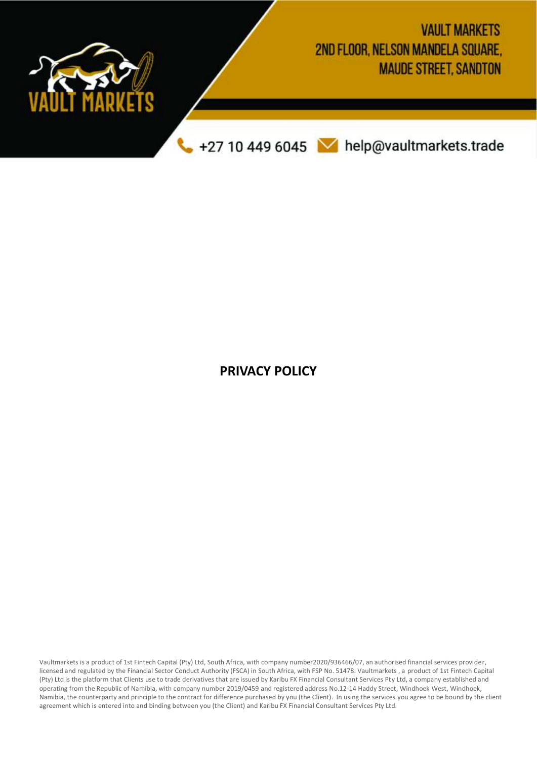

**PRIVACY POLICY**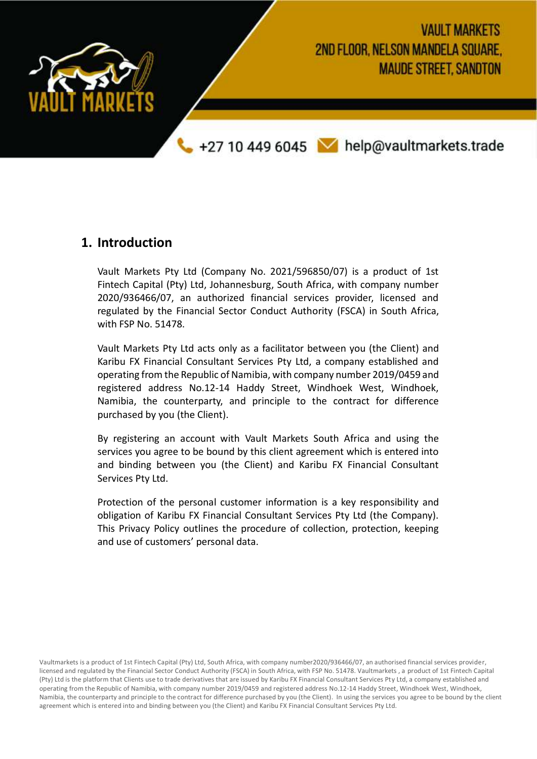

#### **1. Introduction**

Vault Markets Pty Ltd (Company No. 2021/596850/07) is a product of 1st Fintech Capital (Pty) Ltd, Johannesburg, South Africa, with company number 2020/936466/07, an authorized financial services provider, licensed and regulated by the Financial Sector Conduct Authority (FSCA) in South Africa, with FSP No. 51478.

Vault Markets Pty Ltd acts only as a facilitator between you (the Client) and Karibu FX Financial Consultant Services Pty Ltd, a company established and operating from the Republic of Namibia, with company number 2019/0459 and registered address No.12-14 Haddy Street, Windhoek West, Windhoek, Namibia, the counterparty, and principle to the contract for difference purchased by you (the Client).

By registering an account with Vault Markets South Africa and using the services you agree to be bound by this client agreement which is entered into and binding between you (the Client) and Karibu FX Financial Consultant Services Pty Ltd.

Protection of the personal customer information is a key responsibility and obligation of Karibu FX Financial Consultant Services Pty Ltd (the Company). This Privacy Policy outlines the procedure of collection, protection, keeping and use of customers' personal data.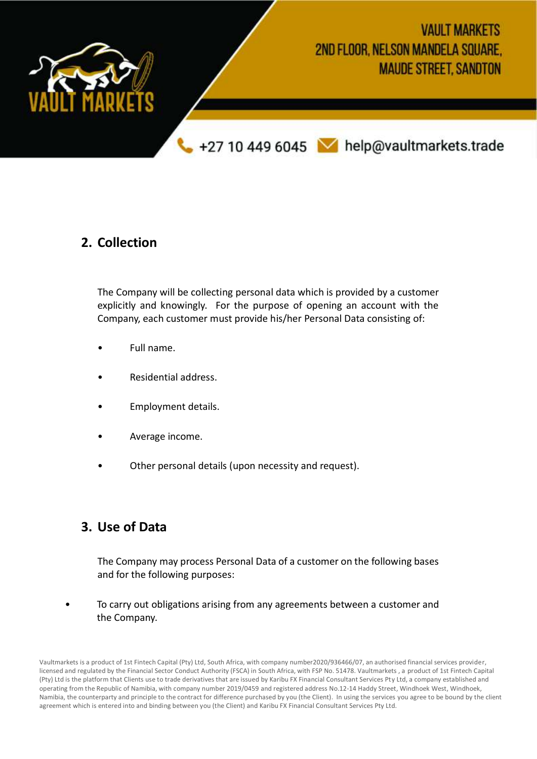

#### **2. Collection**

The Company will be collecting personal data which is provided by a customer explicitly and knowingly. For the purpose of opening an account with the Company, each customer must provide his/her Personal Data consisting of:

- Full name.
- Residential address.
- Employment details.
- Average income.
- Other personal details (upon necessity and request).

### **3. Use of Data**

The Company may process Personal Data of a customer on the following bases and for the following purposes:

• To carry out obligations arising from any agreements between a customer and the Company.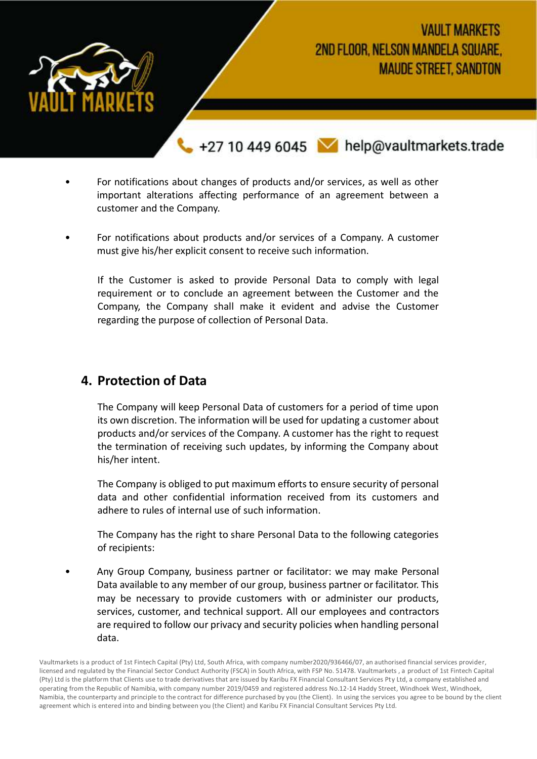

# **VAULT MARKETS** 2ND FLOOR, NELSON MANDELA SOUARE. **MAUDE STREET, SANDTON**

+27 10 449 6045 M help@vaultmarkets.trade

- For notifications about changes of products and/or services, as well as other important alterations affecting performance of an agreement between a customer and the Company.
- For notifications about products and/or services of a Company. A customer must give his/her explicit consent to receive such information.

If the Customer is asked to provide Personal Data to comply with legal requirement or to conclude an agreement between the Customer and the Company, the Company shall make it evident and advise the Customer regarding the purpose of collection of Personal Data.

### **4. Protection of Data**

The Company will keep Personal Data of customers for a period of time upon its own discretion. The information will be used for updating a customer about products and/or services of the Company. A customer has the right to request the termination of receiving such updates, by informing the Company about his/her intent.

The Company is obliged to put maximum efforts to ensure security of personal data and other confidential information received from its customers and adhere to rules of internal use of such information.

The Company has the right to share Personal Data to the following categories of recipients:

• Any Group Company, business partner or facilitator: we may make Personal Data available to any member of our group, business partner or facilitator. This may be necessary to provide customers with or administer our products, services, customer, and technical support. All our employees and contractors are required to follow our privacy and security policies when handling personal data.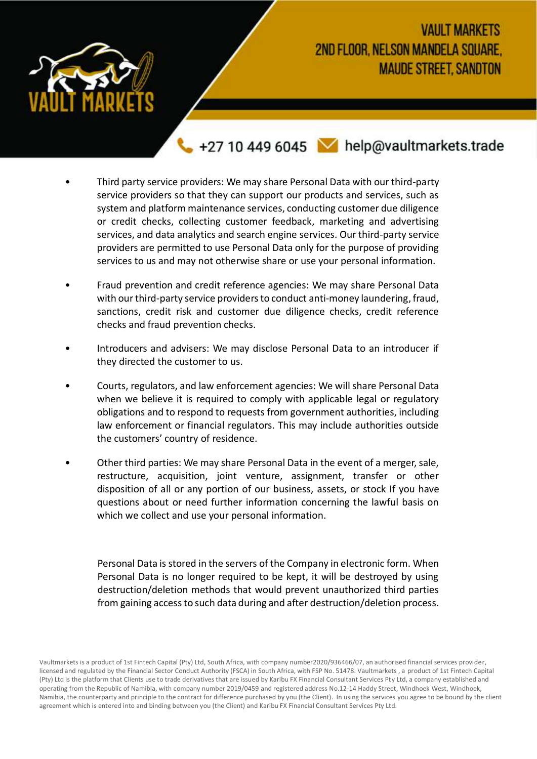

### *VAULT MARKETS* 2ND FLOOR, NELSON MANDELA SQUARE. **MAUDE STREET, SANDTON**

+27 10 449 6045 M help@vaultmarkets.trade

- Third party service providers: We may share Personal Data with our third-party service providers so that they can support our products and services, such as system and platform maintenance services, conducting customer due diligence or credit checks, collecting customer feedback, marketing and advertising services, and data analytics and search engine services. Our third-party service providers are permitted to use Personal Data only for the purpose of providing services to us and may not otherwise share or use your personal information.
- Fraud prevention and credit reference agencies: We may share Personal Data with our third-party service providers to conduct anti-money laundering, fraud, sanctions, credit risk and customer due diligence checks, credit reference checks and fraud prevention checks.
- Introducers and advisers: We may disclose Personal Data to an introducer if they directed the customer to us.
- Courts, regulators, and law enforcement agencies: We will share Personal Data when we believe it is required to comply with applicable legal or regulatory obligations and to respond to requests from government authorities, including law enforcement or financial regulators. This may include authorities outside the customers' country of residence.
- Other third parties: We may share Personal Data in the event of a merger, sale, restructure, acquisition, joint venture, assignment, transfer or other disposition of all or any portion of our business, assets, or stock If you have questions about or need further information concerning the lawful basis on which we collect and use your personal information.

Personal Data is stored in the servers of the Company in electronic form. When Personal Data is no longer required to be kept, it will be destroyed by using destruction/deletion methods that would prevent unauthorized third parties from gaining access to such data during and after destruction/deletion process.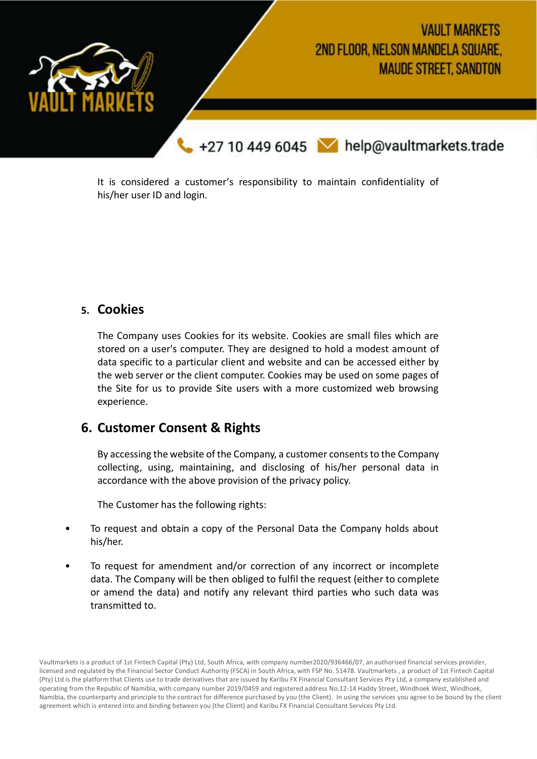

It is considered a customer's responsibility to maintain confidentiality of his/her user ID and login.

#### **5. Cookies**

The Company uses Cookies for its website. Cookies are small files which are stored on a user's computer. They are designed to hold a modest amount of data specific to a particular client and website and can be accessed either by the web server or the client computer. Cookies may be used on some pages of the Site for us to provide Site users with a more customized web browsing experience.

### **6. Customer Consent & Rights**

By accessing the website of the Company, a customer consents to the Company collecting, using, maintaining, and disclosing of his/her personal data in accordance with the above provision of the privacy policy.

The Customer has the following rights:

- To request and obtain a copy of the Personal Data the Company holds about his/her.
- To request for amendment and/or correction of any incorrect or incomplete data. The Company will be then obliged to fulfil the request (either to complete or amend the data) and notify any relevant third parties who such data was transmitted to.